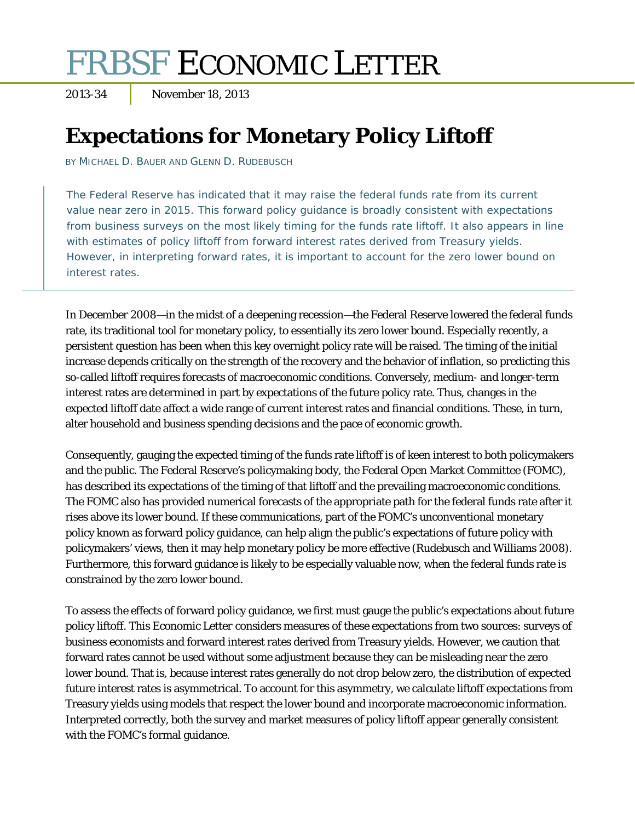# FRBSF ECONOMIC LETTER

2013-34 November 18, 2013

## **Expectations for Monetary Policy Liftoff**

BY MICHAEL D. BAUER AND GLENN D. RUDEBUSCH

The Federal Reserve has indicated that it may raise the federal funds rate from its current value near zero in 2015. This forward policy guidance is broadly consistent with expectations from business surveys on the most likely timing for the funds rate liftoff. It also appears in line with estimates of policy liftoff from forward interest rates derived from Treasury yields. However, in interpreting forward rates, it is important to account for the zero lower bound on interest rates.

In December 2008—in the midst of a deepening recession—the Federal Reserve lowered the federal funds rate, its traditional tool for monetary policy, to essentially its zero lower bound. Especially recently, a persistent question has been when this key overnight policy rate will be raised. The timing of the initial increase depends critically on the strength of the recovery and the behavior of inflation, so predicting this so-called liftoff requires forecasts of macroeconomic conditions. Conversely, medium- and longer-term interest rates are determined in part by expectations of the future policy rate. Thus, changes in the expected liftoff date affect a wide range of current interest rates and financial conditions. These, in turn, alter household and business spending decisions and the pace of economic growth.

Consequently, gauging the expected timing of the funds rate liftoff is of keen interest to both policymakers and the public. The Federal Reserve's policymaking body, the Federal Open Market Committee (FOMC), has described its expectations of the timing of that liftoff and the prevailing macroeconomic conditions. The FOMC also has provided numerical forecasts of the appropriate path for the federal funds rate after it rises above its lower bound. If these communications, part of the FOMC's unconventional monetary policy known as forward policy guidance, can help align the public's expectations of future policy with policymakers' views, then it may help monetary policy be more effective (Rudebusch and Williams 2008). Furthermore, this forward guidance is likely to be especially valuable now, when the federal funds rate is constrained by the zero lower bound.

To assess the effects of forward policy guidance, we first must gauge the public's expectations about future policy liftoff. This *Economic Letter* considers measures of these expectations from two sources: surveys of business economists and forward interest rates derived from Treasury yields. However, we caution that forward rates cannot be used without some adjustment because they can be misleading near the zero lower bound. That is, because interest rates generally do not drop below zero, the distribution of expected future interest rates is asymmetrical. To account for this asymmetry, we calculate liftoff expectations from Treasury yields using models that respect the lower bound and incorporate macroeconomic information. Interpreted correctly, both the survey and market measures of policy liftoff appear generally consistent with the FOMC's formal guidance.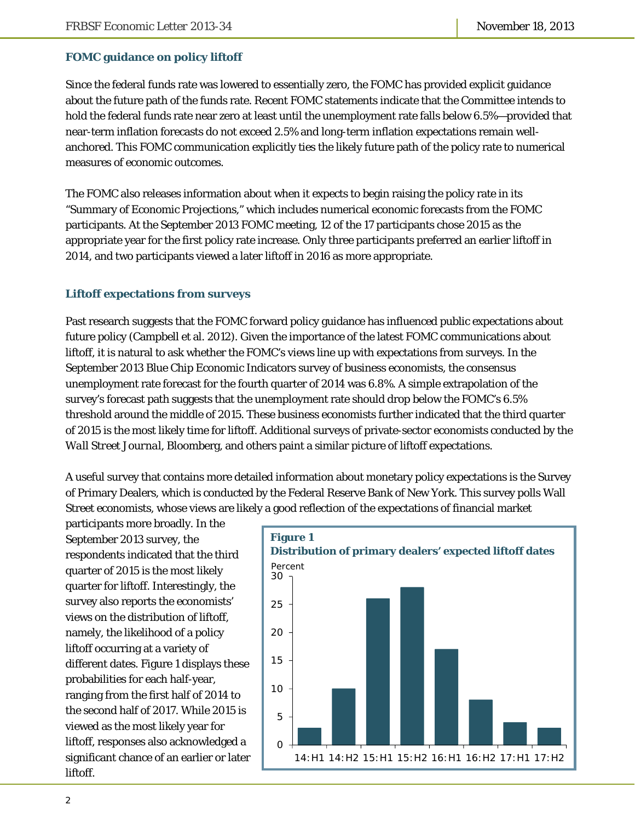### **FOMC guidance on policy liftoff**

Since the federal funds rate was lowered to essentially zero, the FOMC has provided explicit guidance about the future path of the funds rate. Recent FOMC statements indicate that the Committee intends to hold the federal funds rate near zero at least until the unemployment rate falls below 6.5%—provided that near-term inflation forecasts do not exceed 2.5% and long-term inflation expectations remain wellanchored. This FOMC communication explicitly ties the likely future path of the policy rate to numerical measures of economic outcomes.

The FOMC also releases information about when it expects to begin raising the policy rate in its "Summary of Economic Projections," which includes numerical economic forecasts from the FOMC participants. At the September 2013 FOMC meeting, 12 of the 17 participants chose 2015 as the appropriate year for the first policy rate increase. Only three participants preferred an earlier liftoff in 2014, and two participants viewed a later liftoff in 2016 as more appropriate.

#### **Liftoff expectations from surveys**

Past research suggests that the FOMC forward policy guidance has influenced public expectations about future policy (Campbell et al. 2012). Given the importance of the latest FOMC communications about liftoff, it is natural to ask whether the FOMC's views line up with expectations from surveys. In the September 2013 Blue Chip Economic Indicators survey of business economists, the consensus unemployment rate forecast for the fourth quarter of 2014 was 6.8%. A simple extrapolation of the survey's forecast path suggests that the unemployment rate should drop below the FOMC's 6.5% threshold around the middle of 2015. These business economists further indicated that the third quarter of 2015 is the most likely time for liftoff. Additional surveys of private-sector economists conducted by the *Wall Street Journal*, Bloomberg, and others paint a similar picture of liftoff expectations.

A useful survey that contains more detailed information about monetary policy expectations is the Survey of Primary Dealers, which is conducted by the Federal Reserve Bank of New York. This survey polls Wall Street economists, whose views are likely a good reflection of the expectations of financial market

participants more broadly. In the September 2013 survey, the respondents indicated that the third quarter of 2015 is the most likely quarter for liftoff. Interestingly, the survey also reports the economists' views on the distribution of liftoff, namely, the likelihood of a policy liftoff occurring at a variety of different dates. Figure 1 displays these probabilities for each half-year, ranging from the first half of 2014 to the second half of 2017. While 2015 is viewed as the most likely year for liftoff, responses also acknowledged a significant chance of an earlier or later liftoff.

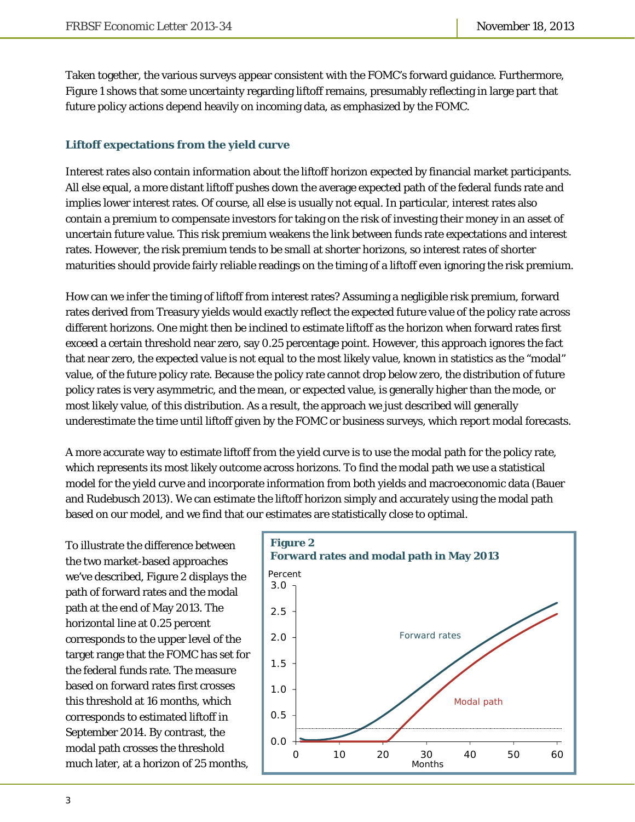Taken together, the various surveys appear consistent with the FOMC's forward guidance. Furthermore, Figure 1 shows that some uncertainty regarding liftoff remains, presumably reflecting in large part that future policy actions depend heavily on incoming data, as emphasized by the FOMC.

### **Liftoff expectations from the yield curve**

Interest rates also contain information about the liftoff horizon expected by financial market participants. All else equal, a more distant liftoff pushes down the average expected path of the federal funds rate and implies lower interest rates. Of course, all else is usually not equal. In particular, interest rates also contain a premium to compensate investors for taking on the risk of investing their money in an asset of uncertain future value. This risk premium weakens the link between funds rate expectations and interest rates. However, the risk premium tends to be small at shorter horizons, so interest rates of shorter maturities should provide fairly reliable readings on the timing of a liftoff even ignoring the risk premium.

How can we infer the timing of liftoff from interest rates? Assuming a negligible risk premium, forward rates derived from Treasury yields would exactly reflect the expected future value of the policy rate across different horizons. One might then be inclined to estimate liftoff as the horizon when forward rates first exceed a certain threshold near zero, say 0.25 percentage point. However, this approach ignores the fact that near zero, the expected value is not equal to the most likely value, known in statistics as the "modal" value, of the future policy rate. Because the policy rate cannot drop below zero, the distribution of future policy rates is very asymmetric, and the mean, or expected value, is generally higher than the mode, or most likely value, of this distribution. As a result, the approach we just described will generally underestimate the time until liftoff given by the FOMC or business surveys, which report modal forecasts.

A more accurate way to estimate liftoff from the yield curve is to use the modal path for the policy rate, which represents its most likely outcome across horizons. To find the modal path we use a statistical model for the yield curve and incorporate information from both yields and macroeconomic data (Bauer and Rudebusch 2013). We can estimate the liftoff horizon simply and accurately using the modal path based on our model, and we find that our estimates are statistically close to optimal.

To illustrate the difference between the two market-based approaches we've described, Figure 2 displays the path of forward rates and the modal path at the end of May 2013. The horizontal line at 0.25 percent corresponds to the upper level of the target range that the FOMC has set for the federal funds rate. The measure based on forward rates first crosses this threshold at 16 months, which corresponds to estimated liftoff in September 2014. By contrast, the modal path crosses the threshold much later, at a horizon of 25 months,

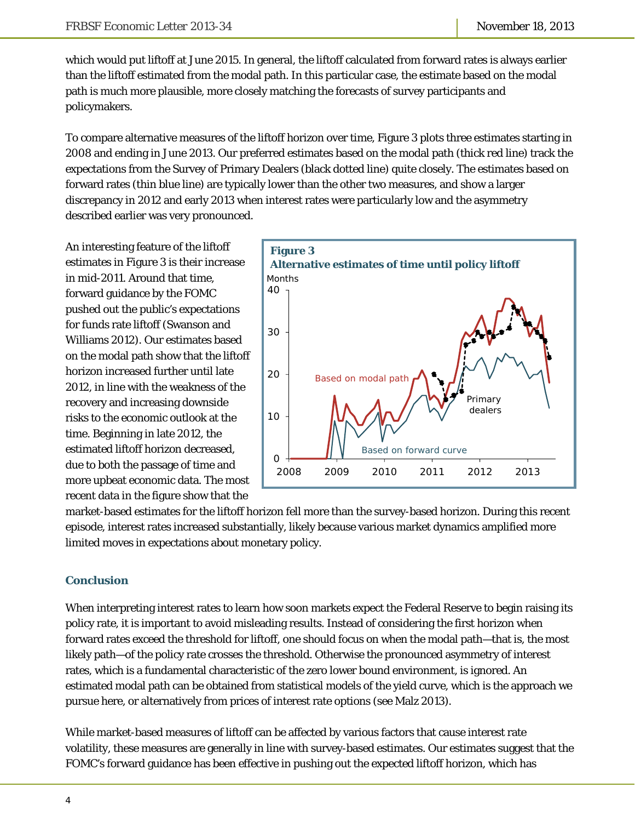which would put liftoff at June 2015. In general, the liftoff calculated from forward rates is always earlier than the liftoff estimated from the modal path. In this particular case, the estimate based on the modal path is much more plausible, more closely matching the forecasts of survey participants and policymakers.

To compare alternative measures of the liftoff horizon over time, Figure 3 plots three estimates starting in 2008 and ending in June 2013. Our preferred estimates based on the modal path (thick red line) track the expectations from the Survey of Primary Dealers (black dotted line) quite closely. The estimates based on forward rates (thin blue line) are typically lower than the other two measures, and show a larger discrepancy in 2012 and early 2013 when interest rates were particularly low and the asymmetry described earlier was very pronounced.

An interesting feature of the liftoff estimates in Figure 3 is their increase in mid-2011. Around that time, forward guidance by the FOMC pushed out the public's expectations for funds rate liftoff (Swanson and Williams 2012). Our estimates based on the modal path show that the liftoff horizon increased further until late 2012, in line with the weakness of the recovery and increasing downside risks to the economic outlook at the time. Beginning in late 2012, the estimated liftoff horizon decreased, due to both the passage of time and more upbeat economic data. The most recent data in the figure show that the



market-based estimates for the liftoff horizon fell more than the survey-based horizon. During this recent episode, interest rates increased substantially, likely because various market dynamics amplified more limited moves in expectations about monetary policy.

#### **Conclusion**

When interpreting interest rates to learn how soon markets expect the Federal Reserve to begin raising its policy rate, it is important to avoid misleading results. Instead of considering the first horizon when forward rates exceed the threshold for liftoff, one should focus on when the modal path—that is, the most likely path—of the policy rate crosses the threshold. Otherwise the pronounced asymmetry of interest rates, which is a fundamental characteristic of the zero lower bound environment, is ignored. An estimated modal path can be obtained from statistical models of the yield curve, which is the approach we pursue here, or alternatively from prices of interest rate options (see Malz 2013).

While market-based measures of liftoff can be affected by various factors that cause interest rate volatility, these measures are generally in line with survey-based estimates. Our estimates suggest that the FOMC's forward guidance has been effective in pushing out the expected liftoff horizon, which has